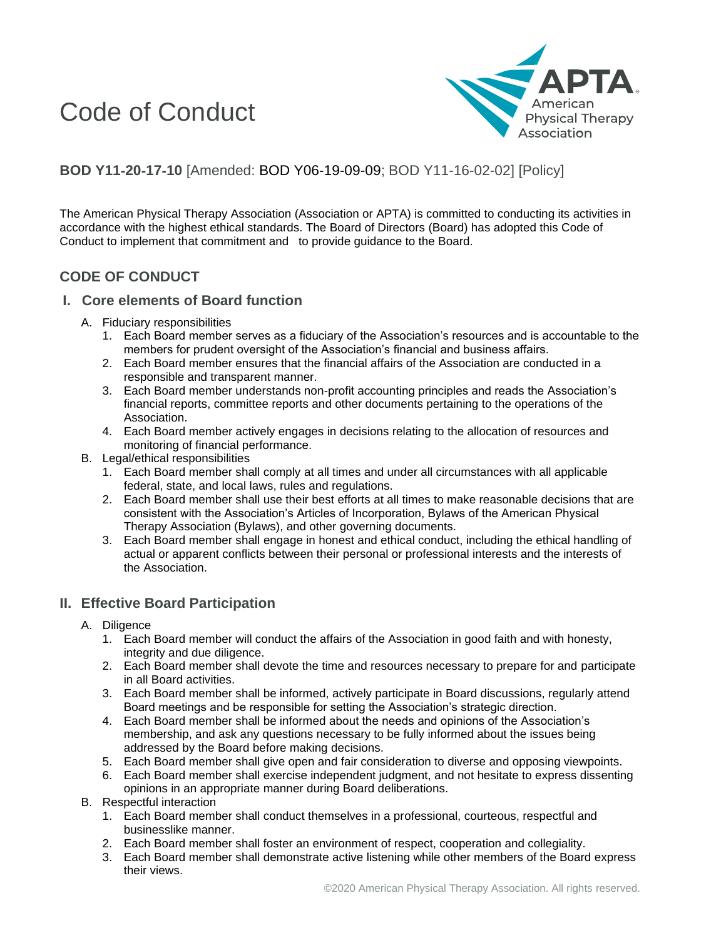# Code of Conduct



# **BOD Y11**‐**20**‐**17**‐**10** [Amended: BOD Y06-19-09-09; BOD Y11-16-02-02] [Policy]

The American Physical Therapy Association (Association or APTA) is committed to conducting its activities in accordance with the highest ethical standards. The Board of Directors (Board) has adopted this Code of Conduct to implement that commitment and to provide guidance to the Board.

## **CODE OF CONDUCT**

#### **I. Core elements of Board function**

- A. Fiduciary responsibilities
	- 1. Each Board member serves as a fiduciary of the Association's resources and is accountable to the members for prudent oversight of the Association's financial and business affairs.
	- 2. Each Board member ensures that the financial affairs of the Association are conducted in a responsible and transparent manner.
	- 3. Each Board member understands non-profit accounting principles and reads the Association's financial reports, committee reports and other documents pertaining to the operations of the Association.
	- 4. Each Board member actively engages in decisions relating to the allocation of resources and monitoring of financial performance.
- B. Legal/ethical responsibilities
	- 1. Each Board member shall comply at all times and under all circumstances with all applicable federal, state, and local laws, rules and regulations.
	- 2. Each Board member shall use their best efforts at all times to make reasonable decisions that are consistent with the Association's Articles of Incorporation, Bylaws of the American Physical Therapy Association (Bylaws), and other governing documents.
	- 3. Each Board member shall engage in honest and ethical conduct, including the ethical handling of actual or apparent conflicts between their personal or professional interests and the interests of the Association.

### **II. Effective Board Participation**

- A. Diligence
	- 1. Each Board member will conduct the affairs of the Association in good faith and with honesty, integrity and due diligence.
	- 2. Each Board member shall devote the time and resources necessary to prepare for and participate in all Board activities.
	- 3. Each Board member shall be informed, actively participate in Board discussions, regularly attend Board meetings and be responsible for setting the Association's strategic direction.
	- 4. Each Board member shall be informed about the needs and opinions of the Association's membership, and ask any questions necessary to be fully informed about the issues being addressed by the Board before making decisions.
	- 5. Each Board member shall give open and fair consideration to diverse and opposing viewpoints.
	- 6. Each Board member shall exercise independent judgment, and not hesitate to express dissenting opinions in an appropriate manner during Board deliberations.
- B. Respectful interaction
	- 1. Each Board member shall conduct themselves in a professional, courteous, respectful and businesslike manner.
	- 2. Each Board member shall foster an environment of respect, cooperation and collegiality.
	- 3. Each Board member shall demonstrate active listening while other members of the Board express their views.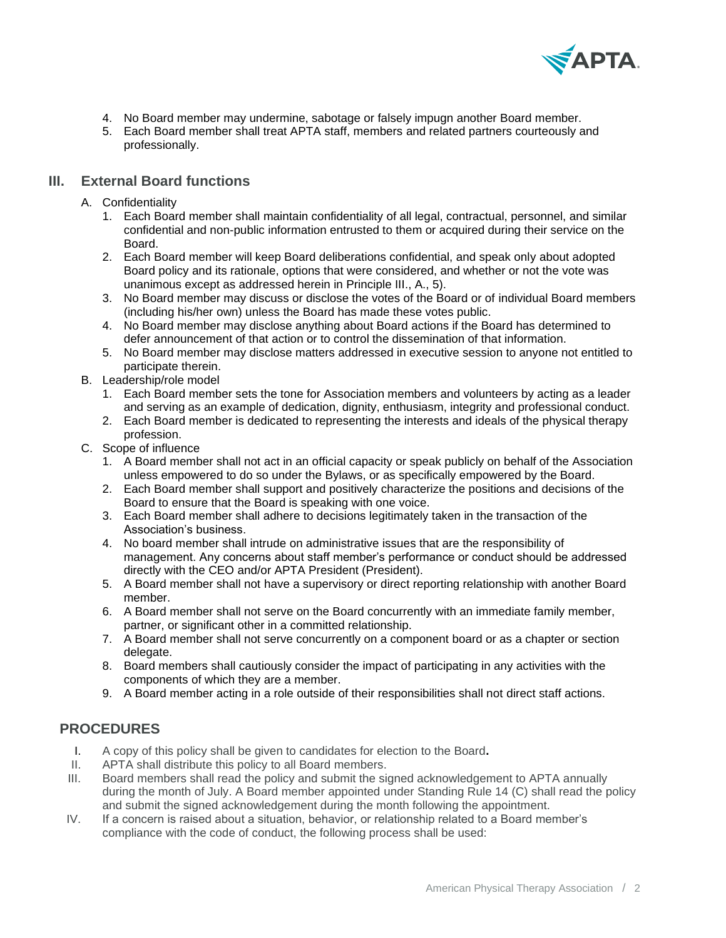

- 4. No Board member may undermine, sabotage or falsely impugn another Board member.
- 5. Each Board member shall treat APTA staff, members and related partners courteously and professionally.

#### **III. External Board functions**

- A. Confidentiality
	- 1. Each Board member shall maintain confidentiality of all legal, contractual, personnel, and similar confidential and non-public information entrusted to them or acquired during their service on the Board.
	- 2. Each Board member will keep Board deliberations confidential, and speak only about adopted Board policy and its rationale, options that were considered, and whether or not the vote was unanimous except as addressed herein in Principle III., A., 5).
	- 3. No Board member may discuss or disclose the votes of the Board or of individual Board members (including his/her own) unless the Board has made these votes public.
	- 4. No Board member may disclose anything about Board actions if the Board has determined to defer announcement of that action or to control the dissemination of that information.
	- 5. No Board member may disclose matters addressed in executive session to anyone not entitled to participate therein.
- B. Leadership/role model
	- 1. Each Board member sets the tone for Association members and volunteers by acting as a leader and serving as an example of dedication, dignity, enthusiasm, integrity and professional conduct.
	- 2. Each Board member is dedicated to representing the interests and ideals of the physical therapy profession.
- C. Scope of influence
	- 1. A Board member shall not act in an official capacity or speak publicly on behalf of the Association unless empowered to do so under the Bylaws, or as specifically empowered by the Board.
	- 2. Each Board member shall support and positively characterize the positions and decisions of the Board to ensure that the Board is speaking with one voice.
	- 3. Each Board member shall adhere to decisions legitimately taken in the transaction of the Association's business.
	- 4. No board member shall intrude on administrative issues that are the responsibility of management. Any concerns about staff member's performance or conduct should be addressed directly with the CEO and/or APTA President (President).
	- 5. A Board member shall not have a supervisory or direct reporting relationship with another Board member.
	- 6. A Board member shall not serve on the Board concurrently with an immediate family member, partner, or significant other in a committed relationship.
	- 7. A Board member shall not serve concurrently on a component board or as a chapter or section delegate.
	- 8. Board members shall cautiously consider the impact of participating in any activities with the components of which they are a member.
	- 9. A Board member acting in a role outside of their responsibilities shall not direct staff actions.

### **PROCEDURES**

- I. A copy of this policy shall be given to candidates for election to the Board**.**
- II. APTA shall distribute this policy to all Board members.
- III. Board members shall read the policy and submit the signed acknowledgement to APTA annually during the month of July. A Board member appointed under Standing Rule 14 (C) shall read the policy and submit the signed acknowledgement during the month following the appointment.
- IV. If a concern is raised about a situation, behavior, or relationship related to a Board member's compliance with the code of conduct, the following process shall be used: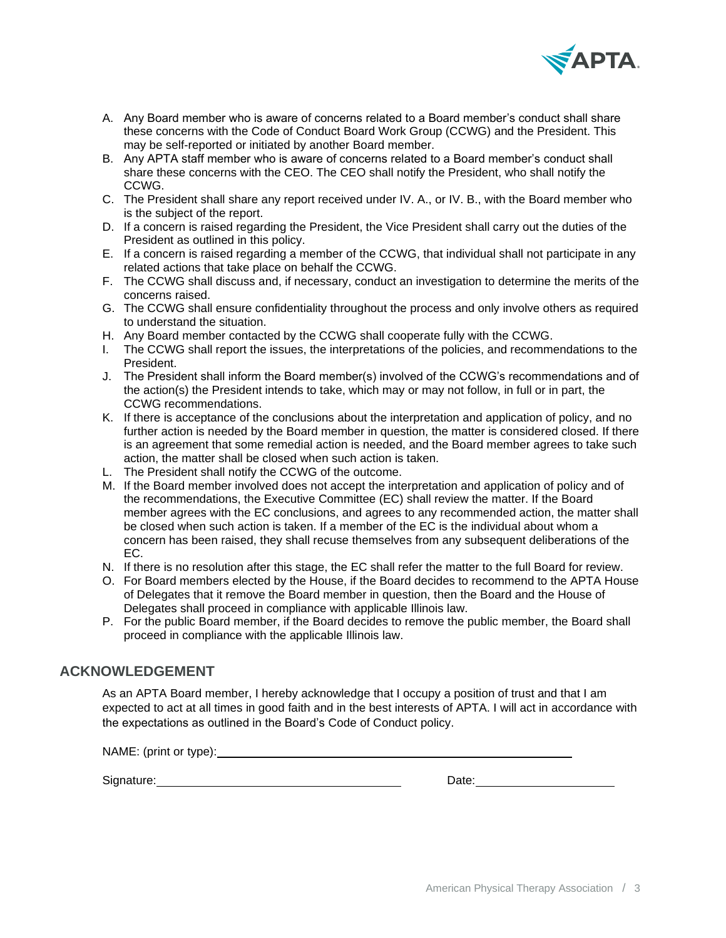

- A. Any Board member who is aware of concerns related to a Board member's conduct shall share these concerns with the Code of Conduct Board Work Group (CCWG) and the President. This may be self-reported or initiated by another Board member.
- B. Any APTA staff member who is aware of concerns related to a Board member's conduct shall share these concerns with the CEO. The CEO shall notify the President, who shall notify the CCWG.
- C. The President shall share any report received under IV. A., or IV. B., with the Board member who is the subject of the report.
- D. If a concern is raised regarding the President, the Vice President shall carry out the duties of the President as outlined in this policy.
- E. If a concern is raised regarding a member of the CCWG, that individual shall not participate in any related actions that take place on behalf the CCWG.
- F. The CCWG shall discuss and, if necessary, conduct an investigation to determine the merits of the concerns raised.
- G. The CCWG shall ensure confidentiality throughout the process and only involve others as required to understand the situation.
- H. Any Board member contacted by the CCWG shall cooperate fully with the CCWG.
- I. The CCWG shall report the issues, the interpretations of the policies, and recommendations to the President.
- J. The President shall inform the Board member(s) involved of the CCWG's recommendations and of the action(s) the President intends to take, which may or may not follow, in full or in part, the CCWG recommendations.
- K. If there is acceptance of the conclusions about the interpretation and application of policy, and no further action is needed by the Board member in question, the matter is considered closed. If there is an agreement that some remedial action is needed, and the Board member agrees to take such action, the matter shall be closed when such action is taken.
- L. The President shall notify the CCWG of the outcome.
- M. If the Board member involved does not accept the interpretation and application of policy and of the recommendations, the Executive Committee (EC) shall review the matter. If the Board member agrees with the EC conclusions, and agrees to any recommended action, the matter shall be closed when such action is taken. If a member of the EC is the individual about whom a concern has been raised, they shall recuse themselves from any subsequent deliberations of the EC.
- N. If there is no resolution after this stage, the EC shall refer the matter to the full Board for review.
- O. For Board members elected by the House, if the Board decides to recommend to the APTA House of Delegates that it remove the Board member in question, then the Board and the House of Delegates shall proceed in compliance with applicable Illinois law.
- P. For the public Board member, if the Board decides to remove the public member, the Board shall proceed in compliance with the applicable Illinois law.

#### **ACKNOWLEDGEMENT**

As an APTA Board member, I hereby acknowledge that I occupy a position of trust and that I am expected to act at all times in good faith and in the best interests of APTA. I will act in accordance with the expectations as outlined in the Board's Code of Conduct policy.

NAME: (print or type):

Signature: Date: Date: Date: Date: Date: Date: Date: Date: Date: Date: Date: Date: Date: Date: Date: Date: Date: Date: Date: Date: Date: Date: Date: Date: Date: Date: Date: Date: Date: Date: Date: Date: Date: Date: Date: D